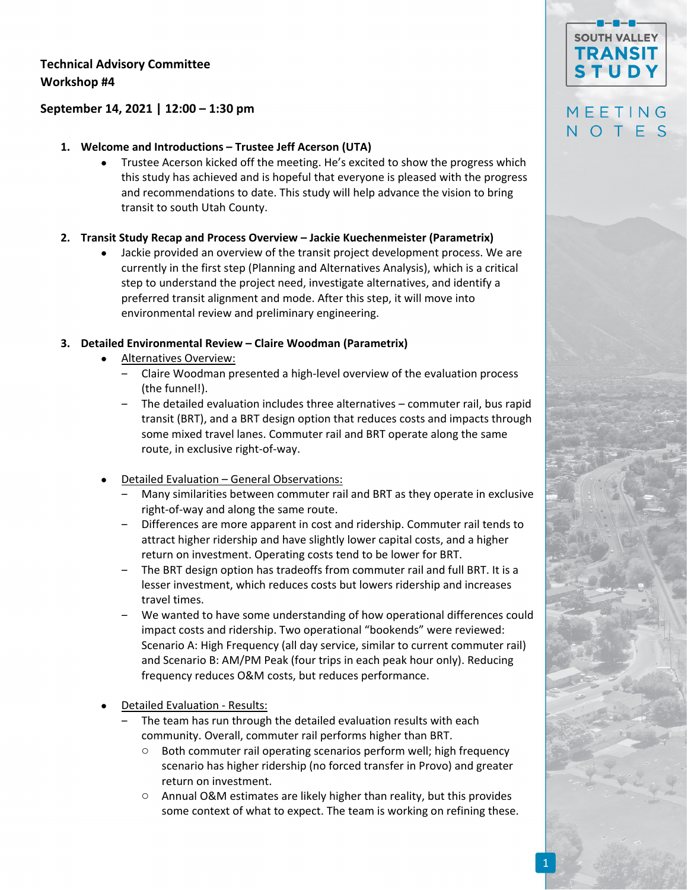### **Technical Advisory Committee Workshop #4**

### **September 14, 2021 | 12:00 – 1:30 pm**

### **1. Welcome and Introductions – Trustee Jeff Acerson (UTA)**

 Trustee Acerson kicked off the meeting. He's excited to show the progress which this study has achieved and is hopeful that everyone is pleased with the progress and recommendations to date. This study will help advance the vision to bring transit to south Utah County.

### **2. Transit Study Recap and Process Overview – Jackie Kuechenmeister (Parametrix)**

 Jackie provided an overview of the transit project development process. We are currently in the first step (Planning and Alternatives Analysis), which is a critical step to understand the project need, investigate alternatives, and identify a preferred transit alignment and mode. After this step, it will move into environmental review and preliminary engineering.

### **3. Detailed Environmental Review – Claire Woodman (Parametrix)**

- Alternatives Overview:
	- ‒ Claire Woodman presented a high‐level overview of the evaluation process (the funnel!).
	- ‒ The detailed evaluation includes three alternatives commuter rail, bus rapid transit (BRT), and a BRT design option that reduces costs and impacts through some mixed travel lanes. Commuter rail and BRT operate along the same route, in exclusive right‐of‐way.
- Detailed Evaluation General Observations:
	- Many similarities between commuter rail and BRT as they operate in exclusive right‐of‐way and along the same route.
	- ‒ Differences are more apparent in cost and ridership. Commuter rail tends to attract higher ridership and have slightly lower capital costs, and a higher return on investment. Operating costs tend to be lower for BRT.
	- ‒ The BRT design option has tradeoffs from commuter rail and full BRT. It is a lesser investment, which reduces costs but lowers ridership and increases travel times.
	- ‒ We wanted to have some understanding of how operational differences could impact costs and ridership. Two operational "bookends" were reviewed: Scenario A: High Frequency (all day service, similar to current commuter rail) and Scenario B: AM/PM Peak (four trips in each peak hour only). Reducing frequency reduces O&M costs, but reduces performance.
- Detailed Evaluation ‐ Results:
	- ‒ The team has run through the detailed evaluation results with each community. Overall, commuter rail performs higher than BRT.
		- Both commuter rail operating scenarios perform well; high frequency scenario has higher ridership (no forced transfer in Provo) and greater return on investment.
		- o Annual O&M estimates are likely higher than reality, but this provides some context of what to expect. The team is working on refining these.

# **SOUTH VALLEY TRANSIT STUDY**

## MEETING NOTES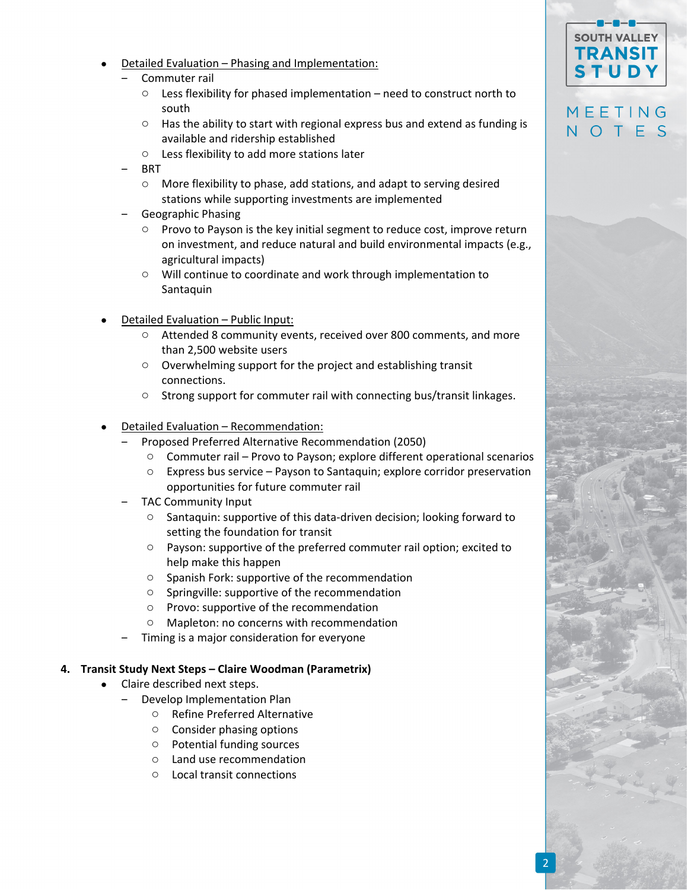- Detailed Evaluation Phasing and Implementation:
	- ‒ Commuter rail
		- $\circ$  Less flexibility for phased implementation need to construct north to south
		- o Has the ability to start with regional express bus and extend as funding is available and ridership established
		- o Less flexibility to add more stations later
	- ‒ BRT
		- o More flexibility to phase, add stations, and adapt to serving desired stations while supporting investments are implemented
	- ‒ Geographic Phasing
		- o Provo to Payson is the key initial segment to reduce cost, improve return on investment, and reduce natural and build environmental impacts (e.g., agricultural impacts)
		- o Will continue to coordinate and work through implementation to Santaquin
- Detailed Evaluation Public Input:
	- o Attended 8 community events, received over 800 comments, and more than 2,500 website users
	- o Overwhelming support for the project and establishing transit connections.
	- o Strong support for commuter rail with connecting bus/transit linkages.
- Detailed Evaluation Recommendation:
	- ‒ Proposed Preferred Alternative Recommendation (2050)
		- o Commuter rail Provo to Payson; explore different operational scenarios
		- o Express bus service Payson to Santaquin; explore corridor preservation opportunities for future commuter rail
	- ‒ TAC Community Input
		- o Santaquin: supportive of this data‐driven decision; looking forward to setting the foundation for transit
		- o Payson: supportive of the preferred commuter rail option; excited to help make this happen
		- o Spanish Fork: supportive of the recommendation
		- o Springville: supportive of the recommendation
		- o Provo: supportive of the recommendation
		- o Mapleton: no concerns with recommendation
	- ‒ Timing is a major consideration for everyone

#### **4. Transit Study Next Steps – Claire Woodman (Parametrix)**

- Claire described next steps.
	- ‒ Develop Implementation Plan
		- o Refine Preferred Alternative
		- o Consider phasing options
		- o Potential funding sources
		- o Land use recommendation
		- o Local transit connections

## MEETING NOTES